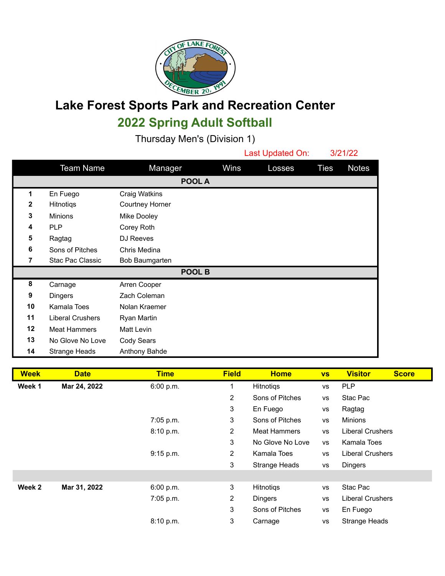

## **Lake Forest Sports Park and Recreation Center 2022 Spring Adult Softball**

Thursday Men's (Division 1)

|              |                      |                        |        | Last Updated On: |        | 3/21/22     |              |  |
|--------------|----------------------|------------------------|--------|------------------|--------|-------------|--------------|--|
|              | <b>Team Name</b>     | Manager                |        | Wins             | Losses | <b>Ties</b> | <b>Notes</b> |  |
| POOL A       |                      |                        |        |                  |        |             |              |  |
| 1            | En Fuego             | Craig Watkins          |        |                  |        |             |              |  |
| $\mathbf{2}$ | Hitnotiqs            | <b>Courtney Horner</b> |        |                  |        |             |              |  |
| $\mathbf{3}$ | <b>Minions</b>       | Mike Dooley            |        |                  |        |             |              |  |
| 4            | <b>PLP</b>           | Corey Roth             |        |                  |        |             |              |  |
| 5            | Ragtag               | DJ Reeves              |        |                  |        |             |              |  |
| 6            | Sons of Pitches      | Chris Medina           |        |                  |        |             |              |  |
| 7            | Stac Pac Classic     | Bob Baumgarten         |        |                  |        |             |              |  |
|              |                      |                        | POOL B |                  |        |             |              |  |
| 8            | Carnage              | Arren Cooper           |        |                  |        |             |              |  |
| 9            | <b>Dingers</b>       | Zach Coleman           |        |                  |        |             |              |  |
| 10           | Kamala Toes          | Nolan Kraemer          |        |                  |        |             |              |  |
| 11           | Liberal Crushers     | Ryan Martin            |        |                  |        |             |              |  |
| 12           | <b>Meat Hammers</b>  | Matt Levin             |        |                  |        |             |              |  |
| 13           | No Glove No Love     | Cody Sears             |        |                  |        |             |              |  |
| 14           | <b>Strange Heads</b> | Anthony Bahde          |        |                  |        |             |              |  |

| <b>Week</b> | <b>Date</b>  | <b>Time</b> | <b>Field</b>   | <b>Home</b>         | <b>VS</b> | <b>Visitor</b><br><b>Score</b> |
|-------------|--------------|-------------|----------------|---------------------|-----------|--------------------------------|
| Week 1      | Mar 24, 2022 | 6:00 p.m.   |                | Hitnotigs           | <b>VS</b> | <b>PLP</b>                     |
|             |              |             | 2              | Sons of Pitches     | <b>VS</b> | Stac Pac                       |
|             |              |             | 3              | En Fuego            | <b>VS</b> | Ragtag                         |
|             |              | 7:05 p.m.   | 3              | Sons of Pitches     | <b>VS</b> | Minions                        |
|             |              | 8:10 p.m.   | $\overline{2}$ | <b>Meat Hammers</b> | <b>VS</b> | <b>Liberal Crushers</b>        |
|             |              |             | 3              | No Glove No Love    | <b>VS</b> | Kamala Toes                    |
|             |              | 9:15 p.m.   | $\overline{2}$ | Kamala Toes         | <b>VS</b> | <b>Liberal Crushers</b>        |
|             |              |             | 3              | Strange Heads       | <b>VS</b> | <b>Dingers</b>                 |
|             |              |             |                |                     |           |                                |
| Week 2      | Mar 31, 2022 | 6:00 p.m.   | 3              | Hitnotigs           | <b>VS</b> | Stac Pac                       |
|             |              | 7:05 p.m.   | 2              | <b>Dingers</b>      | <b>VS</b> | <b>Liberal Crushers</b>        |
|             |              |             | 3              | Sons of Pitches     | <b>VS</b> | En Fuego                       |
|             |              | 8:10 p.m.   | 3              | Carnage             | <b>VS</b> | <b>Strange Heads</b>           |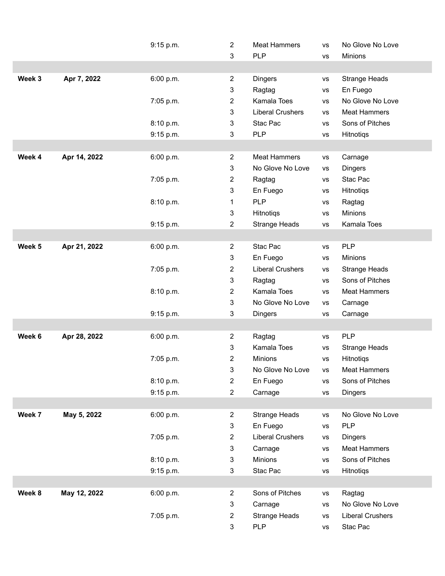|                   |              | 9:15 p.m. | $\overline{2}$            | <b>Meat Hammers</b>     | <b>VS</b>     | No Glove No Love        |  |
|-------------------|--------------|-----------|---------------------------|-------------------------|---------------|-------------------------|--|
|                   |              |           | 3                         | <b>PLP</b>              | vs            | Minions                 |  |
|                   |              |           |                           |                         |               |                         |  |
| Week 3            | Apr 7, 2022  | 6:00 p.m. | $\overline{2}$            | <b>Dingers</b>          | <b>VS</b>     | <b>Strange Heads</b>    |  |
|                   |              |           | $\mathbf{3}$              | Ragtag                  | VS            | En Fuego                |  |
|                   |              | 7:05 p.m. | $\overline{2}$            | Kamala Toes             | <b>VS</b>     | No Glove No Love        |  |
|                   |              |           | 3                         | <b>Liberal Crushers</b> | <b>VS</b>     | <b>Meat Hammers</b>     |  |
|                   |              | 8:10 p.m. | $\mathfrak{3}$            | Stac Pac                | <b>VS</b>     | Sons of Pitches         |  |
|                   |              | 9:15 p.m. | 3                         | <b>PLP</b>              | vs            | Hitnotiqs               |  |
|                   |              |           |                           |                         |               |                         |  |
| Week 4            | Apr 14, 2022 | 6:00 p.m. | $\overline{2}$            | <b>Meat Hammers</b>     | <b>VS</b>     | Carnage                 |  |
|                   |              |           | $\mathbf{3}$              | No Glove No Love        | VS            | Dingers                 |  |
|                   |              | 7:05 p.m. | $\overline{2}$            | Ragtag                  | <b>VS</b>     | Stac Pac                |  |
|                   |              |           | $\mathfrak{3}$            | En Fuego                | <b>VS</b>     | Hitnotiqs               |  |
|                   |              | 8:10 p.m. | 1                         | <b>PLP</b>              | <b>VS</b>     | Ragtag                  |  |
|                   |              |           | $\ensuremath{\mathsf{3}}$ | Hitnotiqs               | $\mathsf{VS}$ | Minions                 |  |
|                   |              | 9:15 p.m. | $\overline{2}$            | <b>Strange Heads</b>    | vs            | Kamala Toes             |  |
|                   |              |           |                           |                         |               |                         |  |
| Week <sub>5</sub> | Apr 21, 2022 | 6:00 p.m. | $\overline{2}$            | Stac Pac                | <b>VS</b>     | <b>PLP</b>              |  |
|                   |              |           | $\mathfrak{3}$            | En Fuego                | <b>VS</b>     | Minions                 |  |
|                   |              | 7:05 p.m. | $\overline{2}$            | <b>Liberal Crushers</b> | <b>VS</b>     | Strange Heads           |  |
|                   |              |           | 3                         | Ragtag                  | <b>VS</b>     | Sons of Pitches         |  |
|                   |              | 8:10 p.m. | $\overline{2}$            | Kamala Toes             | $\mathsf{VS}$ | <b>Meat Hammers</b>     |  |
|                   |              |           | $\mathfrak{S}$            | No Glove No Love        | VS            | Carnage                 |  |
|                   |              | 9:15 p.m. | 3                         | <b>Dingers</b>          | <b>VS</b>     | Carnage                 |  |
|                   |              |           |                           |                         |               |                         |  |
| Week 6            | Apr 28, 2022 | 6:00 p.m. | $\overline{2}$            | Ragtag                  | <b>VS</b>     | <b>PLP</b>              |  |
|                   |              |           | $\ensuremath{\mathsf{3}}$ | Kamala Toes             | <b>VS</b>     | <b>Strange Heads</b>    |  |
|                   |              | 7:05 p.m. | $\overline{2}$            | Minions                 | <b>VS</b>     | Hitnotiqs               |  |
|                   |              |           | 3                         | No Glove No Love        | <b>VS</b>     | <b>Meat Hammers</b>     |  |
|                   |              | 8:10 p.m. | $\overline{2}$            | En Fuego                | $\mathsf{VS}$ | Sons of Pitches         |  |
|                   |              | 9:15 p.m. | $\overline{c}$            | Carnage                 | <b>VS</b>     | Dingers                 |  |
|                   |              |           |                           |                         |               |                         |  |
| Week 7            | May 5, 2022  | 6:00 p.m. | $\overline{2}$            | <b>Strange Heads</b>    | vs            | No Glove No Love        |  |
|                   |              |           | $\sqrt{3}$                | En Fuego                | VS            | <b>PLP</b>              |  |
|                   |              | 7:05 p.m. | $\overline{2}$            | <b>Liberal Crushers</b> | <b>VS</b>     | Dingers                 |  |
|                   |              |           | 3                         | Carnage                 | <b>VS</b>     | <b>Meat Hammers</b>     |  |
|                   |              | 8:10 p.m. | $\mathbf{3}$              | Minions                 | $\mathsf{VS}$ | Sons of Pitches         |  |
|                   |              | 9:15 p.m. | 3                         | Stac Pac                | vs            | Hitnotiqs               |  |
|                   |              |           |                           |                         |               |                         |  |
| Week 8            | May 12, 2022 | 6:00 p.m. | $\overline{2}$            | Sons of Pitches         | <b>VS</b>     | Ragtag                  |  |
|                   |              |           | $\ensuremath{\mathsf{3}}$ | Carnage                 | VS            | No Glove No Love        |  |
|                   |              | 7:05 p.m. | $\overline{2}$            | <b>Strange Heads</b>    | <b>VS</b>     | <b>Liberal Crushers</b> |  |
|                   |              |           | $\ensuremath{\mathsf{3}}$ | <b>PLP</b>              | <b>VS</b>     | Stac Pac                |  |